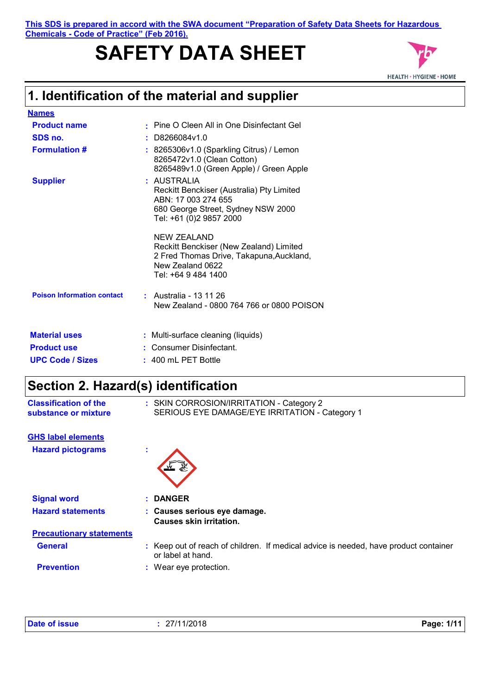#### **This SDS is prepared in accord with the SWA document "Preparation of Safety Data Sheets for Hazardous Chemicals - Code of Practice" (Feb 2016).**

# **SAFETY DATA SHEET**



### **1. Identification of the material and supplier**

| <b>Names</b>                      |                                                                                                                                                  |
|-----------------------------------|--------------------------------------------------------------------------------------------------------------------------------------------------|
| <b>Product name</b>               | • Pine O Cleen All in One Disinfectant Gel                                                                                                       |
| SDS no.                           | : D8266084v1.0                                                                                                                                   |
| <b>Formulation #</b>              | : 8265306v1.0 (Sparkling Citrus) / Lemon<br>8265472v1.0 (Clean Cotton)<br>8265489v1.0 (Green Apple) / Green Apple                                |
| <b>Supplier</b>                   | : AUSTRALIA<br>Reckitt Benckiser (Australia) Pty Limited<br>ABN: 17 003 274 655<br>680 George Street, Sydney NSW 2000<br>Tel: +61 (0)2 9857 2000 |
|                                   | NEW ZEALAND<br>Reckitt Benckiser (New Zealand) Limited<br>2 Fred Thomas Drive, Takapuna, Auckland,<br>New Zealand 0622<br>Tel: +64 9 484 1400    |
| <b>Poison Information contact</b> | : Australia - 13 11 26<br>New Zealand - 0800 764 766 or 0800 POISON                                                                              |
| <b>Material uses</b>              | : Multi-surface cleaning (liquids)                                                                                                               |
| <b>Product use</b>                | Consumer Disinfectant.                                                                                                                           |
| <b>UPC Code / Sizes</b>           | $: 400$ mL PET Bottle                                                                                                                            |

### **Section 2. Hazard(s) identification**

| <b>Classification of the</b> | : SKIN CORROSION/IRRITATION - Category 2       |
|------------------------------|------------------------------------------------|
| substance or mixture         | SERIOUS EYE DAMAGE/EYE IRRITATION - Category 1 |

|  | <b>GHS label elements</b> |
|--|---------------------------|
|  |                           |

**Hazard pictograms :**



| <b>Signal word</b>              | : DANGER                                                                                                  |  |
|---------------------------------|-----------------------------------------------------------------------------------------------------------|--|
| <b>Hazard statements</b>        | : Causes serious eye damage.<br>Causes skin irritation.                                                   |  |
| <b>Precautionary statements</b> |                                                                                                           |  |
| <b>General</b>                  | : Keep out of reach of children. If medical advice is needed, have product container<br>or label at hand. |  |
| <b>Prevention</b>               | : Wear eye protection.                                                                                    |  |

| <b>Date of issue</b> | 27/11/2018 | Page: 1/11 |
|----------------------|------------|------------|
|----------------------|------------|------------|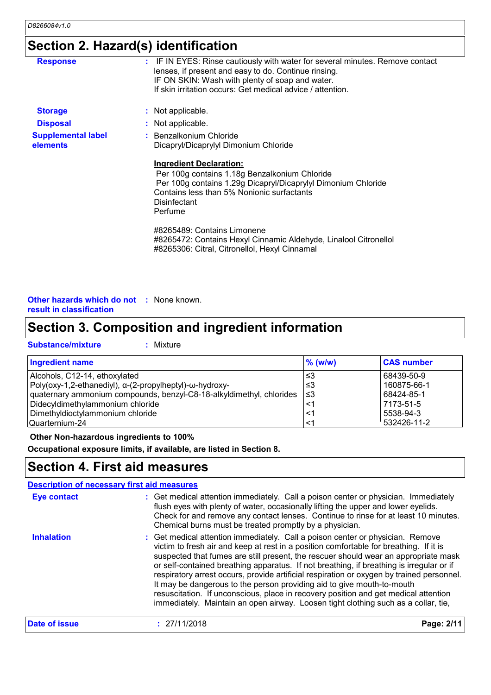### **Section 2. Hazard(s) identification**

| <b>Response</b>                       | : IF IN EYES: Rinse cautiously with water for several minutes. Remove contact<br>lenses, if present and easy to do. Continue rinsing.<br>IF ON SKIN: Wash with plenty of soap and water.<br>If skin irritation occurs: Get medical advice / attention. |
|---------------------------------------|--------------------------------------------------------------------------------------------------------------------------------------------------------------------------------------------------------------------------------------------------------|
| <b>Storage</b>                        | : Not applicable.                                                                                                                                                                                                                                      |
| <b>Disposal</b>                       | : Not applicable.                                                                                                                                                                                                                                      |
| <b>Supplemental label</b><br>elements | : Benzalkonium Chloride<br>Dicapryl/Dicaprylyl Dimonium Chloride                                                                                                                                                                                       |
|                                       | <b>Ingredient Declaration:</b><br>Per 100g contains 1.18g Benzalkonium Chloride<br>Per 100g contains 1.29g Dicapryl/Dicaprylyl Dimonium Chloride<br>Contains less than 5% Nonionic surfactants<br>Disinfectant<br>Perfume                              |
|                                       | #8265489: Contains Limonene<br>#8265472: Contains Hexyl Cinnamic Aldehyde, Linalool Citronellol<br>#8265306: Citral, Citronellol, Hexyl Cinnamal                                                                                                       |

#### **Other hazards which do not :** None known. **result in classification**

### **Section 3. Composition and ingredient information**

| <b>Substance/mixture</b> | Mixt |
|--------------------------|------|
|                          |      |

|  | <b>Mixture</b> |
|--|----------------|
|--|----------------|

| <b>Ingredient name</b>                                               | $\%$ (w/w) | <b>CAS number</b> |
|----------------------------------------------------------------------|------------|-------------------|
| Alcohols, C12-14, ethoxylated                                        | צ≥         | 68439-50-9        |
| $Poly(oxy-1, 2-ethanediyl), \alpha-(2-propylheptyl)-\omega-hydroxy-$ | ו≥ ≥       | 160875-66-1       |
| quaternary ammonium compounds, benzyl-C8-18-alkyldimethyl, chlorides | 3≥ ا       | 68424-85-1        |
| Didecyldimethylammonium chloride                                     | <1         | 7173-51-5         |
| Dimethyldioctylammonium chloride                                     | <1         | 5538-94-3         |
| Quarternium-24                                                       | <1         | 532426-11-2       |

#### **Other Non-hazardous ingredients to 100%**

**Occupational exposure limits, if available, are listed in Section 8.**

### **Section 4. First aid measures**

|                    | <b>Description of necessary first aid measures</b>                                                                                                                                                                                                                                                                                                                                                                                                                                                                                                                                                                                                                                                              |           |
|--------------------|-----------------------------------------------------------------------------------------------------------------------------------------------------------------------------------------------------------------------------------------------------------------------------------------------------------------------------------------------------------------------------------------------------------------------------------------------------------------------------------------------------------------------------------------------------------------------------------------------------------------------------------------------------------------------------------------------------------------|-----------|
| <b>Eye contact</b> | : Get medical attention immediately. Call a poison center or physician. Immediately<br>flush eyes with plenty of water, occasionally lifting the upper and lower eyelids.<br>Check for and remove any contact lenses. Continue to rinse for at least 10 minutes.<br>Chemical burns must be treated promptly by a physician.                                                                                                                                                                                                                                                                                                                                                                                     |           |
| <b>Inhalation</b>  | : Get medical attention immediately. Call a poison center or physician. Remove<br>victim to fresh air and keep at rest in a position comfortable for breathing. If it is<br>suspected that fumes are still present, the rescuer should wear an appropriate mask<br>or self-contained breathing apparatus. If not breathing, if breathing is irregular or if<br>respiratory arrest occurs, provide artificial respiration or oxygen by trained personnel.<br>It may be dangerous to the person providing aid to give mouth-to-mouth<br>resuscitation. If unconscious, place in recovery position and get medical attention<br>immediately. Maintain an open airway. Loosen tight clothing such as a collar, tie, |           |
| Date of issue      | : 27/11/2018                                                                                                                                                                                                                                                                                                                                                                                                                                                                                                                                                                                                                                                                                                    | Page: 2/1 |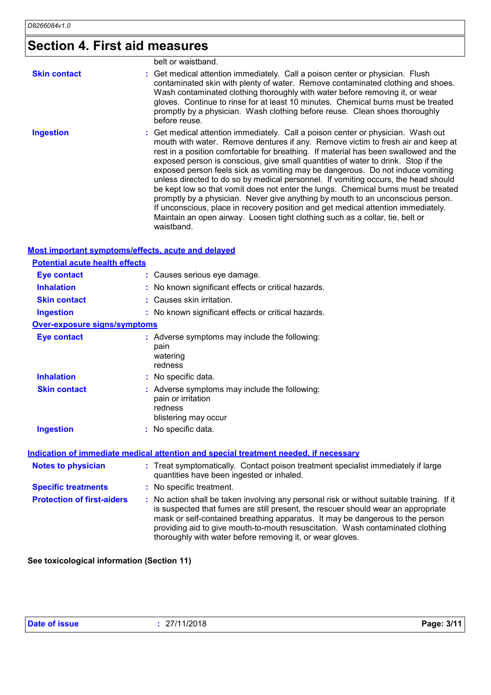### **Section 4. First aid measures**

|                     | belt or waistband.                                                                                                                                                                                                                                                                                                                                                                                                                                                                                                                                                                                                                                                                                                                                                                                                                                                                     |
|---------------------|----------------------------------------------------------------------------------------------------------------------------------------------------------------------------------------------------------------------------------------------------------------------------------------------------------------------------------------------------------------------------------------------------------------------------------------------------------------------------------------------------------------------------------------------------------------------------------------------------------------------------------------------------------------------------------------------------------------------------------------------------------------------------------------------------------------------------------------------------------------------------------------|
| <b>Skin contact</b> | : Get medical attention immediately. Call a poison center or physician. Flush<br>contaminated skin with plenty of water. Remove contaminated clothing and shoes.<br>Wash contaminated clothing thoroughly with water before removing it, or wear<br>gloves. Continue to rinse for at least 10 minutes. Chemical burns must be treated<br>promptly by a physician. Wash clothing before reuse. Clean shoes thoroughly<br>before reuse.                                                                                                                                                                                                                                                                                                                                                                                                                                                  |
| <b>Ingestion</b>    | : Get medical attention immediately. Call a poison center or physician. Wash out<br>mouth with water. Remove dentures if any. Remove victim to fresh air and keep at<br>rest in a position comfortable for breathing. If material has been swallowed and the<br>exposed person is conscious, give small quantities of water to drink. Stop if the<br>exposed person feels sick as vomiting may be dangerous. Do not induce vomiting<br>unless directed to do so by medical personnel. If vomiting occurs, the head should<br>be kept low so that vomit does not enter the lungs. Chemical burns must be treated<br>promptly by a physician. Never give anything by mouth to an unconscious person.<br>If unconscious, place in recovery position and get medical attention immediately.<br>Maintain an open airway. Loosen tight clothing such as a collar, tie, belt or<br>waistband. |

#### **Most important symptoms/effects, acute and delayed**

| <b>Potential acute health effects</b> |                                                                                                                                |
|---------------------------------------|--------------------------------------------------------------------------------------------------------------------------------|
| <b>Eye contact</b>                    | : Causes serious eye damage.                                                                                                   |
| <b>Inhalation</b>                     | : No known significant effects or critical hazards.                                                                            |
| <b>Skin contact</b>                   | : Causes skin irritation.                                                                                                      |
| <b>Ingestion</b>                      | : No known significant effects or critical hazards.                                                                            |
| <b>Over-exposure signs/symptoms</b>   |                                                                                                                                |
| <b>Eye contact</b>                    | : Adverse symptoms may include the following:<br>pain<br>watering<br>redness                                                   |
| <b>Inhalation</b>                     | : No specific data.                                                                                                            |
| <b>Skin contact</b>                   | Adverse symptoms may include the following:<br>pain or irritation<br>redness<br>blistering may occur                           |
| <b>Ingestion</b>                      | No specific data.                                                                                                              |
|                                       | <b>Indication of immediate medical attention and special treatment needed, if necessary</b>                                    |
| <b>Notes to physician</b>             | : Treat symptomatically. Contact poison treatment specialist immediately if large<br>quantities have been ingested or inhaled. |
| <b>Specific treatments</b>            | : No specific treatment.                                                                                                       |

**Protection of first-aiders :** No action shall be taken involving any personal risk or without suitable training. If it is suspected that fumes are still present, the rescuer should wear an appropriate mask or self-contained breathing apparatus. It may be dangerous to the person providing aid to give mouth-to-mouth resuscitation. Wash contaminated clothing thoroughly with water before removing it, or wear gloves.

**See toxicological information (Section 11)**

| Date of issue | : 27/11/2018 | Page: 3/11 |
|---------------|--------------|------------|
|               |              |            |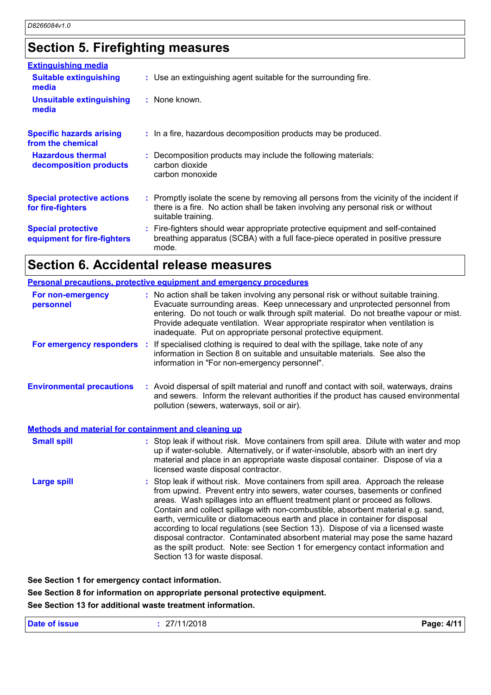### **Section 5. Firefighting measures**

| <b>Extinguishing media</b>                               |                                                                                                                                                                                                     |
|----------------------------------------------------------|-----------------------------------------------------------------------------------------------------------------------------------------------------------------------------------------------------|
| <b>Suitable extinguishing</b><br>media                   | : Use an extinguishing agent suitable for the surrounding fire.                                                                                                                                     |
| <b>Unsuitable extinguishing</b><br>media                 | : None known.                                                                                                                                                                                       |
| <b>Specific hazards arising</b><br>from the chemical     | : In a fire, hazardous decomposition products may be produced.                                                                                                                                      |
| <b>Hazardous thermal</b><br>decomposition products       | : Decomposition products may include the following materials:<br>carbon dioxide<br>carbon monoxide                                                                                                  |
| <b>Special protective actions</b><br>for fire-fighters   | : Promptly isolate the scene by removing all persons from the vicinity of the incident if<br>there is a fire. No action shall be taken involving any personal risk or without<br>suitable training. |
| <b>Special protective</b><br>equipment for fire-fighters | : Fire-fighters should wear appropriate protective equipment and self-contained<br>breathing apparatus (SCBA) with a full face-piece operated in positive pressure<br>mode.                         |

### **Section 6. Accidental release measures**

|                                                             | <b>Personal precautions, protective equipment and emergency procedures</b>                                                                                                                                                                                                                                                                                                                                                                                                                                                                                                                                                                                                                                        |
|-------------------------------------------------------------|-------------------------------------------------------------------------------------------------------------------------------------------------------------------------------------------------------------------------------------------------------------------------------------------------------------------------------------------------------------------------------------------------------------------------------------------------------------------------------------------------------------------------------------------------------------------------------------------------------------------------------------------------------------------------------------------------------------------|
| For non-emergency<br>personnel                              | : No action shall be taken involving any personal risk or without suitable training.<br>Evacuate surrounding areas. Keep unnecessary and unprotected personnel from<br>entering. Do not touch or walk through spilt material. Do not breathe vapour or mist.<br>Provide adequate ventilation. Wear appropriate respirator when ventilation is<br>inadequate. Put on appropriate personal protective equipment.                                                                                                                                                                                                                                                                                                    |
|                                                             | For emergency responders : If specialised clothing is required to deal with the spillage, take note of any<br>information in Section 8 on suitable and unsuitable materials. See also the<br>information in "For non-emergency personnel".                                                                                                                                                                                                                                                                                                                                                                                                                                                                        |
| <b>Environmental precautions</b>                            | : Avoid dispersal of spilt material and runoff and contact with soil, waterways, drains<br>and sewers. Inform the relevant authorities if the product has caused environmental<br>pollution (sewers, waterways, soil or air).                                                                                                                                                                                                                                                                                                                                                                                                                                                                                     |
| <b>Methods and material for containment and cleaning up</b> |                                                                                                                                                                                                                                                                                                                                                                                                                                                                                                                                                                                                                                                                                                                   |
| <b>Small spill</b>                                          | : Stop leak if without risk. Move containers from spill area. Dilute with water and mop<br>up if water-soluble. Alternatively, or if water-insoluble, absorb with an inert dry<br>material and place in an appropriate waste disposal container. Dispose of via a<br>licensed waste disposal contractor.                                                                                                                                                                                                                                                                                                                                                                                                          |
| <b>Large spill</b>                                          | : Stop leak if without risk. Move containers from spill area. Approach the release<br>from upwind. Prevent entry into sewers, water courses, basements or confined<br>areas. Wash spillages into an effluent treatment plant or proceed as follows.<br>Contain and collect spillage with non-combustible, absorbent material e.g. sand,<br>earth, vermiculite or diatomaceous earth and place in container for disposal<br>according to local regulations (see Section 13). Dispose of via a licensed waste<br>disposal contractor. Contaminated absorbent material may pose the same hazard<br>as the spilt product. Note: see Section 1 for emergency contact information and<br>Section 13 for waste disposal. |

**See Section 1 for emergency contact information.**

**See Section 8 for information on appropriate personal protective equipment. See Section 13 for additional waste treatment information.**

| <b>Date of issue</b> | : 27/11/2018 | Page: 4/11 |
|----------------------|--------------|------------|
|----------------------|--------------|------------|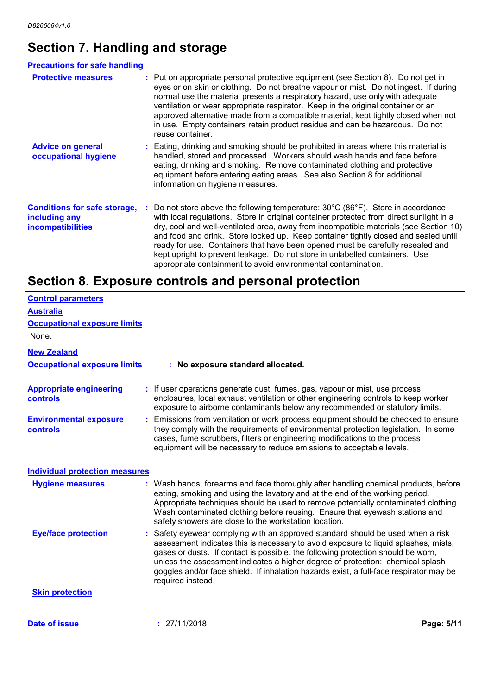### **Section 7. Handling and storage**

| <b>Precautions for safe handling</b>                                             |                                                                                                                                                                                                                                                                                                                                                                                                                                                                                                                                                                                                                  |
|----------------------------------------------------------------------------------|------------------------------------------------------------------------------------------------------------------------------------------------------------------------------------------------------------------------------------------------------------------------------------------------------------------------------------------------------------------------------------------------------------------------------------------------------------------------------------------------------------------------------------------------------------------------------------------------------------------|
| <b>Protective measures</b>                                                       | : Put on appropriate personal protective equipment (see Section 8). Do not get in<br>eyes or on skin or clothing. Do not breathe vapour or mist. Do not ingest. If during<br>normal use the material presents a respiratory hazard, use only with adequate<br>ventilation or wear appropriate respirator. Keep in the original container or an<br>approved alternative made from a compatible material, kept tightly closed when not<br>in use. Empty containers retain product residue and can be hazardous. Do not<br>reuse container.                                                                         |
| <b>Advice on general</b><br>occupational hygiene                                 | : Eating, drinking and smoking should be prohibited in areas where this material is<br>handled, stored and processed. Workers should wash hands and face before<br>eating, drinking and smoking. Remove contaminated clothing and protective<br>equipment before entering eating areas. See also Section 8 for additional<br>information on hygiene measures.                                                                                                                                                                                                                                                    |
| <b>Conditions for safe storage,</b><br>including any<br><i>incompatibilities</i> | Do not store above the following temperature: $30^{\circ}$ C (86 $^{\circ}$ F). Store in accordance<br>with local regulations. Store in original container protected from direct sunlight in a<br>dry, cool and well-ventilated area, away from incompatible materials (see Section 10)<br>and food and drink. Store locked up. Keep container tightly closed and sealed until<br>ready for use. Containers that have been opened must be carefully resealed and<br>kept upright to prevent leakage. Do not store in unlabelled containers. Use<br>appropriate containment to avoid environmental contamination. |

### **Section 8. Exposure controls and personal protection**

| <b>Control parameters</b>                  |                                                                                                                                                                                                                                                                                                                                                                                                                                                             |
|--------------------------------------------|-------------------------------------------------------------------------------------------------------------------------------------------------------------------------------------------------------------------------------------------------------------------------------------------------------------------------------------------------------------------------------------------------------------------------------------------------------------|
| <b>Australia</b>                           |                                                                                                                                                                                                                                                                                                                                                                                                                                                             |
| <b>Occupational exposure limits</b>        |                                                                                                                                                                                                                                                                                                                                                                                                                                                             |
| None.                                      |                                                                                                                                                                                                                                                                                                                                                                                                                                                             |
| <b>New Zealand</b>                         |                                                                                                                                                                                                                                                                                                                                                                                                                                                             |
| <b>Occupational exposure limits</b>        | : No exposure standard allocated.                                                                                                                                                                                                                                                                                                                                                                                                                           |
| <b>Appropriate engineering</b><br>controls | : If user operations generate dust, fumes, gas, vapour or mist, use process<br>enclosures, local exhaust ventilation or other engineering controls to keep worker<br>exposure to airborne contaminants below any recommended or statutory limits.                                                                                                                                                                                                           |
| <b>Environmental exposure</b><br>controls  | : Emissions from ventilation or work process equipment should be checked to ensure<br>they comply with the requirements of environmental protection legislation. In some<br>cases, fume scrubbers, filters or engineering modifications to the process<br>equipment will be necessary to reduce emissions to acceptable levels.                                                                                                                             |
| <b>Individual protection measures</b>      |                                                                                                                                                                                                                                                                                                                                                                                                                                                             |
| <b>Hygiene measures</b>                    | : Wash hands, forearms and face thoroughly after handling chemical products, before<br>eating, smoking and using the lavatory and at the end of the working period.<br>Appropriate techniques should be used to remove potentially contaminated clothing.<br>Wash contaminated clothing before reusing. Ensure that eyewash stations and<br>safety showers are close to the workstation location.                                                           |
| <b>Eye/face protection</b>                 | : Safety eyewear complying with an approved standard should be used when a risk<br>assessment indicates this is necessary to avoid exposure to liquid splashes, mists,<br>gases or dusts. If contact is possible, the following protection should be worn,<br>unless the assessment indicates a higher degree of protection: chemical splash<br>goggles and/or face shield. If inhalation hazards exist, a full-face respirator may be<br>required instead. |
| <b>Skin protection</b>                     |                                                                                                                                                                                                                                                                                                                                                                                                                                                             |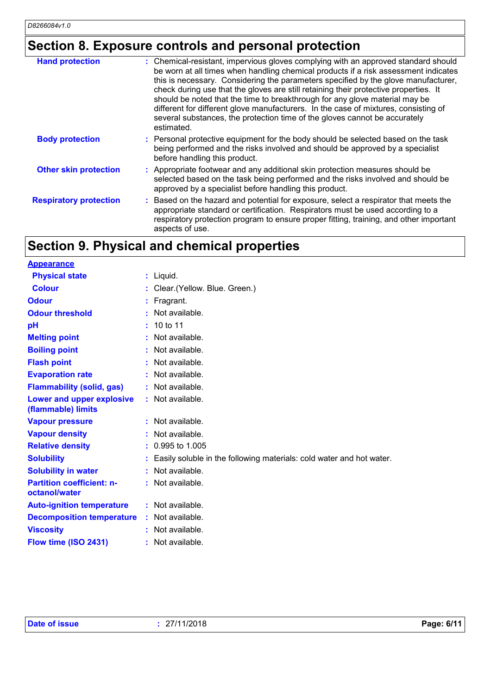### **Section 8. Exposure controls and personal protection**

| <b>Hand protection</b>        | : Chemical-resistant, impervious gloves complying with an approved standard should<br>be worn at all times when handling chemical products if a risk assessment indicates<br>this is necessary. Considering the parameters specified by the glove manufacturer,<br>check during use that the gloves are still retaining their protective properties. It<br>should be noted that the time to breakthrough for any glove material may be<br>different for different glove manufacturers. In the case of mixtures, consisting of<br>several substances, the protection time of the gloves cannot be accurately<br>estimated. |
|-------------------------------|---------------------------------------------------------------------------------------------------------------------------------------------------------------------------------------------------------------------------------------------------------------------------------------------------------------------------------------------------------------------------------------------------------------------------------------------------------------------------------------------------------------------------------------------------------------------------------------------------------------------------|
| <b>Body protection</b>        | : Personal protective equipment for the body should be selected based on the task<br>being performed and the risks involved and should be approved by a specialist<br>before handling this product.                                                                                                                                                                                                                                                                                                                                                                                                                       |
| <b>Other skin protection</b>  | : Appropriate footwear and any additional skin protection measures should be<br>selected based on the task being performed and the risks involved and should be<br>approved by a specialist before handling this product.                                                                                                                                                                                                                                                                                                                                                                                                 |
| <b>Respiratory protection</b> | Based on the hazard and potential for exposure, select a respirator that meets the<br>appropriate standard or certification. Respirators must be used according to a<br>respiratory protection program to ensure proper fitting, training, and other important<br>aspects of use.                                                                                                                                                                                                                                                                                                                                         |

## **Section 9. Physical and chemical properties**

| <b>Appearance</b>                                 |    |                                                                      |
|---------------------------------------------------|----|----------------------------------------------------------------------|
| <b>Physical state</b>                             |    | $:$ Liquid.                                                          |
| <b>Colour</b>                                     |    | Clear. (Yellow. Blue. Green.)                                        |
| <b>Odour</b>                                      |    | Fragrant.                                                            |
| <b>Odour threshold</b>                            |    | Not available.                                                       |
| pH                                                |    | 10 to 11                                                             |
| <b>Melting point</b>                              |    | Not available.                                                       |
| <b>Boiling point</b>                              |    | Not available.                                                       |
| <b>Flash point</b>                                |    | Not available.                                                       |
| <b>Evaporation rate</b>                           |    | Not available.                                                       |
| <b>Flammability (solid, gas)</b>                  | ÷. | Not available.                                                       |
| Lower and upper explosive<br>(flammable) limits   |    | $:$ Not available.                                                   |
| <b>Vapour pressure</b>                            |    | Not available.                                                       |
| <b>Vapour density</b>                             |    | Not available.                                                       |
| <b>Relative density</b>                           |    | 0.995 to 1.005                                                       |
| <b>Solubility</b>                                 |    | Easily soluble in the following materials: cold water and hot water. |
| <b>Solubility in water</b>                        | t. | Not available.                                                       |
| <b>Partition coefficient: n-</b><br>octanol/water |    | $:$ Not available.                                                   |
| <b>Auto-ignition temperature</b>                  |    | : Not available.                                                     |
| <b>Decomposition temperature</b>                  |    | : Not available.                                                     |
| <b>Viscosity</b>                                  |    | Not available.                                                       |
| Flow time (ISO 2431)                              |    | : Not available.                                                     |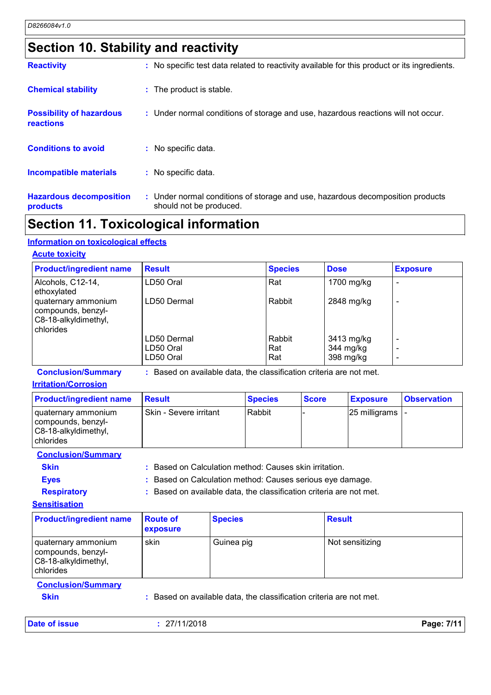### **Section 10. Stability and reactivity**

| <b>Reactivity</b>                            | : No specific test data related to reactivity available for this product or its ingredients.              |
|----------------------------------------------|-----------------------------------------------------------------------------------------------------------|
| <b>Chemical stability</b>                    | : The product is stable.                                                                                  |
| <b>Possibility of hazardous</b><br>reactions | : Under normal conditions of storage and use, hazardous reactions will not occur.                         |
| <b>Conditions to avoid</b>                   | No specific data.                                                                                         |
| <b>Incompatible materials</b>                | : No specific data.                                                                                       |
| <b>Hazardous decomposition</b><br>products   | : Under normal conditions of storage and use, hazardous decomposition products<br>should not be produced. |

### **Section 11. Toxicological information**

#### **Information on toxicological effects**

#### **Acute toxicity**

| <b>Product/ingredient name</b>                                                 | <b>Result</b> | <b>Species</b> | <b>Dose</b> | <b>Exposure</b> |
|--------------------------------------------------------------------------------|---------------|----------------|-------------|-----------------|
| Alcohols, C12-14,<br>ethoxylated                                               | LD50 Oral     | Rat            | 1700 mg/kg  |                 |
| quaternary ammonium<br>compounds, benzyl-<br>C8-18-alkyldimethyl,<br>chlorides | LD50 Dermal   | Rabbit         | 2848 mg/kg  |                 |
|                                                                                | LD50 Dermal   | Rabbit         | 3413 mg/kg  |                 |
|                                                                                | LD50 Oral     | Rat            | 344 mg/kg   |                 |
|                                                                                | LD50 Oral     | Rat            | 398 mg/kg   |                 |

**Conclusion/Summary :** Based on available data, the classification criteria are not met.

#### **Irritation/Corrosion**

| <b>Product/ingredient name</b>                                                   | <b>Besult</b>          | <b>Species</b> | <b>Score</b> | <b>Exposure</b>           | <b>Observation</b> |
|----------------------------------------------------------------------------------|------------------------|----------------|--------------|---------------------------|--------------------|
| quaternary ammonium<br>compounds, benzyl-<br>C8-18-alkyldimethyl,<br>I chlorides | Skin - Severe irritant | Rabbit         |              | $25$ milligrams $\vert$ - |                    |

#### **Conclusion/Summary**

**Skin Skin Example 2018 :** Based on Calculation method: Causes skin irritation.

**Eyes :** Based on Calculation method: Causes serious eye damage. **Respiratory :** Based on available data, the classification criteria are not met.

**Sensitisation**

| <b>Product/ingredient name</b>                                                 | <b>Route of</b><br><b>exposure</b> | <b>Species</b> | <b>Result</b>   |
|--------------------------------------------------------------------------------|------------------------------------|----------------|-----------------|
| quaternary ammonium<br>compounds, benzyl-<br>C8-18-alkyldimethyl,<br>chlorides | skin                               | Guinea pig     | Not sensitizing |

#### **Conclusion/Summary**

**Skin :** Based on available data, the classification criteria are not met.

| Date of issue | 27/11/2018 | Page: 7/11 |
|---------------|------------|------------|
|---------------|------------|------------|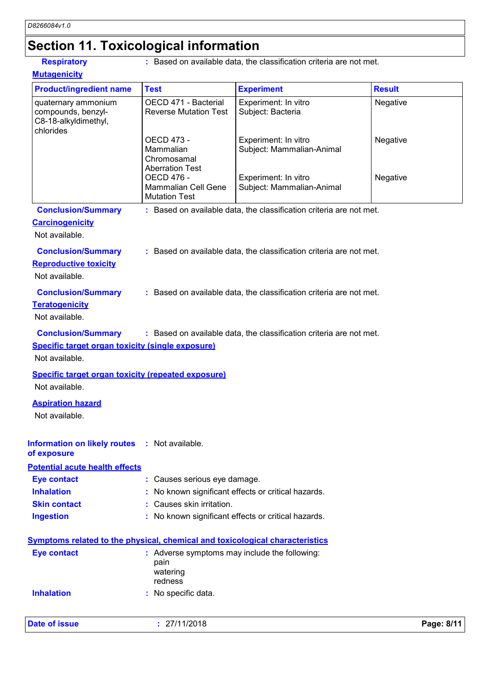### **Section 11. Toxicological information**

**Respiratory** : Based on available data, the classification criteria are not met.

| <b>Mutagenicity</b>                                                            |                                                                         |                                                                     |               |
|--------------------------------------------------------------------------------|-------------------------------------------------------------------------|---------------------------------------------------------------------|---------------|
| <b>Product/ingredient name</b>                                                 | <b>Test</b>                                                             | <b>Experiment</b>                                                   | <b>Result</b> |
| quaternary ammonium<br>compounds, benzyl-<br>C8-18-alkyldimethyl,<br>chlorides | OECD 471 - Bacterial<br><b>Reverse Mutation Test</b>                    | Experiment: In vitro<br>Subject: Bacteria                           | Negative      |
|                                                                                | OECD 473 -<br>Mammalian<br>Chromosamal<br><b>Aberration Test</b>        | Experiment: In vitro<br>Subject: Mammalian-Animal                   | Negative      |
|                                                                                | <b>OECD 476 -</b><br><b>Mammalian Cell Gene</b><br><b>Mutation Test</b> | Experiment: In vitro<br>Subject: Mammalian-Animal                   | Negative      |
| <b>Conclusion/Summary</b>                                                      |                                                                         | : Based on available data, the classification criteria are not met. |               |
| <b>Carcinogenicity</b><br>Not available.                                       |                                                                         |                                                                     |               |
| <b>Conclusion/Summary</b><br><b>Reproductive toxicity</b><br>Not available.    |                                                                         | : Based on available data, the classification criteria are not met. |               |
| <b>Conclusion/Summary</b><br><b>Teratogenicity</b><br>Not available.           |                                                                         | : Based on available data, the classification criteria are not met. |               |
| <b>Conclusion/Summary</b>                                                      |                                                                         | : Based on available data, the classification criteria are not met. |               |
| <b>Specific target organ toxicity (single exposure)</b><br>Not available.      |                                                                         |                                                                     |               |
| <b>Specific target organ toxicity (repeated exposure)</b>                      |                                                                         |                                                                     |               |
| Not available.                                                                 |                                                                         |                                                                     |               |
| <b>Aspiration hazard</b>                                                       |                                                                         |                                                                     |               |
| Not available.                                                                 |                                                                         |                                                                     |               |
| <b>Information on likely routes</b><br>of exposure                             | : Not available.                                                        |                                                                     |               |
| <b>Potential acute health effects</b>                                          |                                                                         |                                                                     |               |
| <b>Eye contact</b>                                                             | : Causes serious eye damage.                                            |                                                                     |               |
| <b>Inhalation</b>                                                              |                                                                         | No known significant effects or critical hazards.                   |               |
| <b>Skin contact</b>                                                            | Causes skin irritation.                                                 |                                                                     |               |
| <b>Ingestion</b>                                                               |                                                                         | : No known significant effects or critical hazards.                 |               |

| Eye contact       | : Adverse symptoms may include the following:<br>pain<br>watering<br>redness |
|-------------------|------------------------------------------------------------------------------|
| <b>Inhalation</b> | : No specific data.                                                          |

| <b>Date of issue</b> | 27/11/2018 | Page: 8/11 |
|----------------------|------------|------------|
|----------------------|------------|------------|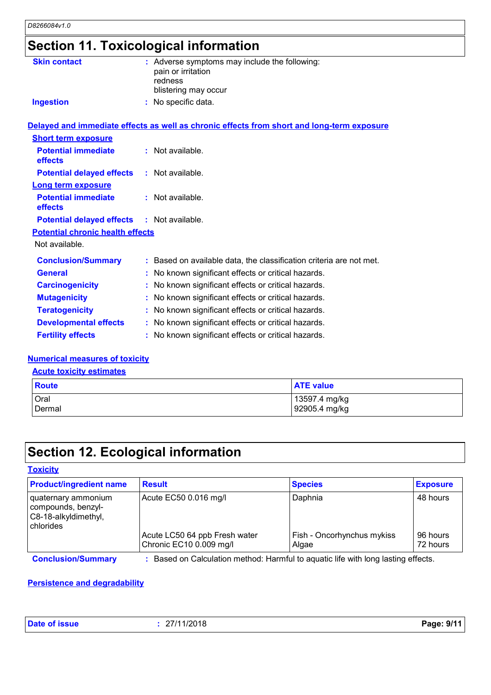### **Section 11. Toxicological information**

| <b>Skin contact</b>                               | : Adverse symptoms may include the following:<br>pain or irritation<br>redness<br>blistering may occur |
|---------------------------------------------------|--------------------------------------------------------------------------------------------------------|
| <b>Ingestion</b>                                  | : No specific data.                                                                                    |
|                                                   | Delayed and immediate effects as well as chronic effects from short and long-term exposure             |
| <b>Short term exposure</b>                        |                                                                                                        |
| <b>Potential immediate</b><br>effects             | : Not available.                                                                                       |
| <b>Potential delayed effects</b>                  | $:$ Not available.                                                                                     |
| <b>Long term exposure</b>                         |                                                                                                        |
| <b>Potential immediate</b><br>effects             | $:$ Not available.                                                                                     |
| <b>Potential delayed effects : Not available.</b> |                                                                                                        |
| <b>Potential chronic health effects</b>           |                                                                                                        |
| Not available.                                    |                                                                                                        |
| <b>Conclusion/Summary</b>                         | : Based on available data, the classification criteria are not met.                                    |
| <b>General</b>                                    | No known significant effects or critical hazards.                                                      |
| <b>Carcinogenicity</b>                            | No known significant effects or critical hazards.                                                      |
| <b>Mutagenicity</b>                               | No known significant effects or critical hazards.                                                      |
| <b>Teratogenicity</b>                             | : No known significant effects or critical hazards.                                                    |
| <b>Developmental effects</b>                      | : No known significant effects or critical hazards.                                                    |
| <b>Fertility effects</b>                          | : No known significant effects or critical hazards.                                                    |

#### **Numerical measures of toxicity**

#### **Acute toxicity estimates**

| Route  | <b>ATE value</b> |  |  |
|--------|------------------|--|--|
| Oral   | 13597.4 mg/kg    |  |  |
| Dermal | 92905.4 mg/kg    |  |  |

## **Section 12. Ecological information**

#### **Toxicity**

| <b>Product/ingredient name</b>                                                 | <b>Result</b>                                            | <b>Species</b>                      | <b>Exposure</b>      |
|--------------------------------------------------------------------------------|----------------------------------------------------------|-------------------------------------|----------------------|
| quaternary ammonium<br>compounds, benzyl-<br>C8-18-alkyldimethyl,<br>chlorides | Acute EC50 0.016 mg/l                                    | Daphnia                             | 48 hours             |
|                                                                                | Acute LC50 64 ppb Fresh water<br>Chronic EC10 0.009 mg/l | Fish - Oncorhynchus mykiss<br>Algae | 96 hours<br>72 hours |

**Conclusion/Summary :** Based on Calculation method: Harmful to aquatic life with long lasting effects.

### **Persistence and degradability**

| Date of issue | 27/11/2018 | Page: 9/11 |
|---------------|------------|------------|
|---------------|------------|------------|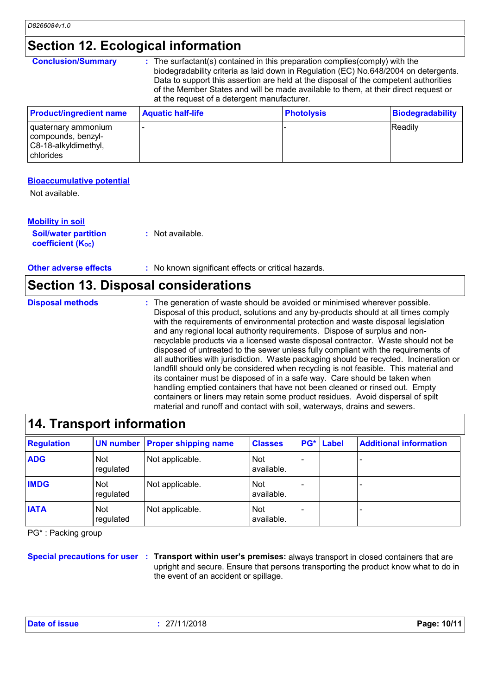### **Section 12. Ecological information**

**Conclusion/Summary :** The surfactant(s) contained in this preparation complies(comply) with the biodegradability criteria as laid down in Regulation (EC) No.648/2004 on detergents. Data to support this assertion are held at the disposal of the competent authorities of the Member States and will be made available to them, at their direct request or at the request of a detergent manufacturer.

| <b>Product/ingredient name</b>                                                 | <b>Aquatic half-life</b> | <b>Photolysis</b> | Biodegradability |
|--------------------------------------------------------------------------------|--------------------------|-------------------|------------------|
| quaternary ammonium<br>compounds, benzyl-<br>C8-18-alkyldimethyl,<br>chlorides |                          |                   | <b>IReadily</b>  |

#### **Bioaccumulative potential**

Not available.

| <b>Mobility in soil</b>                                 |                  |
|---------------------------------------------------------|------------------|
| <b>Soil/water partition</b><br><b>coefficient (Koc)</b> | : Not available. |

**Other adverse effects** : No known significant effects or critical hazards.

### **Section 13. Disposal considerations**

The generation of waste should be avoided or minimised wherever possible. Disposal of this product, solutions and any by-products should at all times comply with the requirements of environmental protection and waste disposal legislation and any regional local authority requirements. Dispose of surplus and nonrecyclable products via a licensed waste disposal contractor. Waste should not be disposed of untreated to the sewer unless fully compliant with the requirements of all authorities with jurisdiction. Waste packaging should be recycled. Incineration or landfill should only be considered when recycling is not feasible. This material and its container must be disposed of in a safe way. Care should be taken when handling emptied containers that have not been cleaned or rinsed out. Empty containers or liners may retain some product residues. Avoid dispersal of spilt material and runoff and contact with soil, waterways, drains and sewers. **Disposal methods :**

### **14. Transport information**

| <b>Regulation</b> |                         | <b>UN number Proper shipping name</b> | <b>Classes</b>           | <b>PG*</b> Label | <b>Additional information</b> |
|-------------------|-------------------------|---------------------------------------|--------------------------|------------------|-------------------------------|
| <b>ADG</b>        | <b>Not</b><br>regulated | Not applicable.                       | Not<br>available.        |                  |                               |
| <b>IMDG</b>       | <b>Not</b><br>regulated | Not applicable.                       | Not<br>available.        |                  |                               |
| <b>IATA</b>       | <b>Not</b><br>regulated | Not applicable.                       | <b>Not</b><br>available. |                  |                               |

PG\* : Packing group

**Special precautions for user Transport within user's premises:** always transport in closed containers that are **:** upright and secure. Ensure that persons transporting the product know what to do in the event of an accident or spillage.

| <b>Date of issue</b><br>27/11/2018 | Page: 10/11 |
|------------------------------------|-------------|
|------------------------------------|-------------|